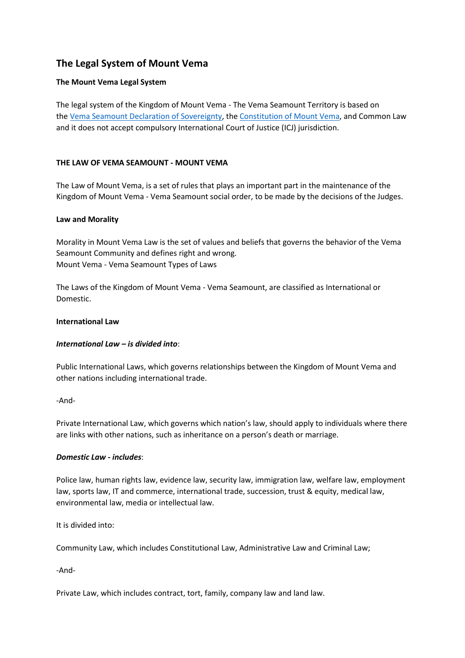# **The Legal System of Mount Vema**

# **The Mount Vema Legal System**

The legal system of the Kingdom of Mount Vema - The Vema Seamount Territory is based on the [Vema Seamount Declaration of Sovereignty,](https://www.mount-vema.com/vema-seamount-declaration-of-sovereignty.html) the [Constitution of Mount Vema,](https://www.mount-vema.com/the-constitution-of-mount-vema.html) and Common Law and it does not accept compulsory International Court of Justice (ICJ) jurisdiction.

# **THE LAW OF VEMA SEAMOUNT - MOUNT VEMA**

The Law of Mount Vema, is a set of rules that plays an important part in the maintenance of the Kingdom of Mount Vema - Vema Seamount social order, to be made by the decisions of the Judges.

# **Law and Morality**

Morality in Mount Vema Law is the set of values and beliefs that governs the behavior of the Vema Seamount Community and defines right and wrong. Mount Vema - Vema Seamount Types of Laws

The Laws of the Kingdom of Mount Vema - Vema Seamount, are classified as International or Domestic.

### **International Law**

# *International Law – is divided into*:

Public International Laws, which governs relationships between the Kingdom of Mount Vema and other nations including international trade.

-And-

Private International Law, which governs which nation's law, should apply to individuals where there are links with other nations, such as inheritance on a person's death or marriage.

# *Domestic Law - includes*:

Police law, human rights law, evidence law, security law, immigration law, welfare law, employment law, sports law, IT and commerce, international trade, succession, trust & equity, medical law, environmental law, media or intellectual law.

It is divided into:

Community Law, which includes Constitutional Law, Administrative Law and Criminal Law;

-And-

Private Law, which includes contract, tort, family, company law and land law.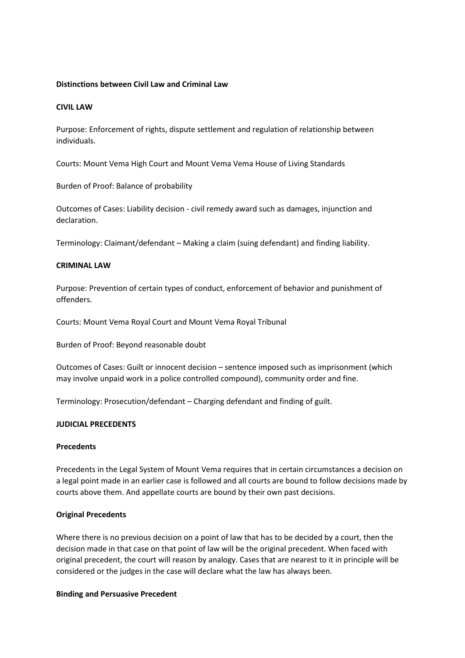### **Distinctions between Civil Law and Criminal Law**

#### **CIVIL LAW**

Purpose: Enforcement of rights, dispute settlement and regulation of relationship between individuals.

Courts: Mount Vema High Court and Mount Vema Vema House of Living Standards

Burden of Proof: Balance of probability

Outcomes of Cases: Liability decision - civil remedy award such as damages, injunction and declaration.

Terminology: Claimant/defendant – Making a claim (suing defendant) and finding liability.

#### **CRIMINAL LAW**

Purpose: Prevention of certain types of conduct, enforcement of behavior and punishment of offenders.

Courts: Mount Vema Royal Court and Mount Vema Royal Tribunal

Burden of Proof: Beyond reasonable doubt

Outcomes of Cases: Guilt or innocent decision – sentence imposed such as imprisonment (which may involve unpaid work in a police controlled compound), community order and fine.

Terminology: Prosecution/defendant – Charging defendant and finding of guilt.

### **JUDICIAL PRECEDENTS**

#### **Precedents**

Precedents in the Legal System of Mount Vema requires that in certain circumstances a decision on a legal point made in an earlier case is followed and all courts are bound to follow decisions made by courts above them. And appellate courts are bound by their own past decisions.

#### **Original Precedents**

Where there is no previous decision on a point of law that has to be decided by a court, then the decision made in that case on that point of law will be the original precedent. When faced with original precedent, the court will reason by analogy. Cases that are nearest to it in principle will be considered or the judges in the case will declare what the law has always been.

#### **Binding and Persuasive Precedent**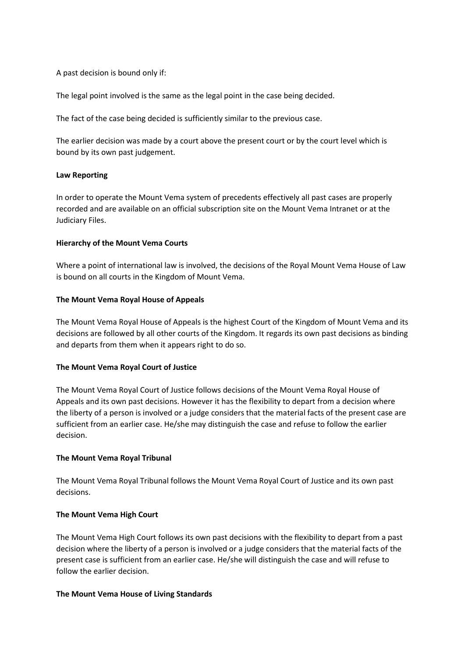A past decision is bound only if:

The legal point involved is the same as the legal point in the case being decided.

The fact of the case being decided is sufficiently similar to the previous case.

The earlier decision was made by a court above the present court or by the court level which is bound by its own past judgement.

# **Law Reporting**

In order to operate the Mount Vema system of precedents effectively all past cases are properly recorded and are available on an official subscription site on the Mount Vema Intranet or at the Judiciary Files.

# **Hierarchy of the Mount Vema Courts**

Where a point of international law is involved, the decisions of the Royal Mount Vema House of Law is bound on all courts in the Kingdom of Mount Vema.

# **The Mount Vema Royal House of Appeals**

The Mount Vema Royal House of Appeals is the highest Court of the Kingdom of Mount Vema and its decisions are followed by all other courts of the Kingdom. It regards its own past decisions as binding and departs from them when it appears right to do so.

# **The Mount Vema Royal Court of Justice**

The Mount Vema Royal Court of Justice follows decisions of the Mount Vema Royal House of Appeals and its own past decisions. However it has the flexibility to depart from a decision where the liberty of a person is involved or a judge considers that the material facts of the present case are sufficient from an earlier case. He/she may distinguish the case and refuse to follow the earlier decision.

# **The Mount Vema Royal Tribunal**

The Mount Vema Royal Tribunal follows the Mount Vema Royal Court of Justice and its own past decisions.

# **The Mount Vema High Court**

The Mount Vema High Court follows its own past decisions with the flexibility to depart from a past decision where the liberty of a person is involved or a judge considers that the material facts of the present case is sufficient from an earlier case. He/she will distinguish the case and will refuse to follow the earlier decision.

# **The Mount Vema House of Living Standards**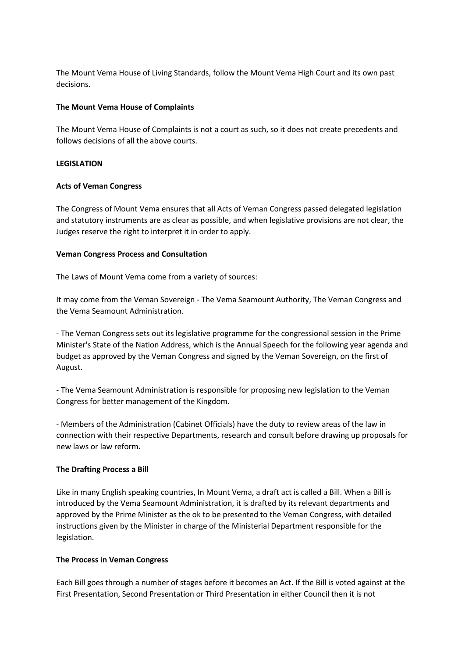The Mount Vema House of Living Standards, follow the Mount Vema High Court and its own past decisions.

# **The Mount Vema House of Complaints**

The Mount Vema House of Complaints is not a court as such, so it does not create precedents and follows decisions of all the above courts.

# **LEGISLATION**

# **Acts of Veman Congress**

The Congress of Mount Vema ensures that all Acts of Veman Congress passed delegated legislation and statutory instruments are as clear as possible, and when legislative provisions are not clear, the Judges reserve the right to interpret it in order to apply.

# **Veman Congress Process and Consultation**

The Laws of Mount Vema come from a variety of sources:

It may come from the Veman Sovereign - The Vema Seamount Authority, The Veman Congress and the Vema Seamount Administration.

- The Veman Congress sets out its legislative programme for the congressional session in the Prime Minister's State of the Nation Address, which is the Annual Speech for the following year agenda and budget as approved by the Veman Congress and signed by the Veman Sovereign, on the first of August.

- The Vema Seamount Administration is responsible for proposing new legislation to the Veman Congress for better management of the Kingdom.

- Members of the Administration (Cabinet Officials) have the duty to review areas of the law in connection with their respective Departments, research and consult before drawing up proposals for new laws or law reform.

# **The Drafting Process a Bill**

Like in many English speaking countries, In Mount Vema, a draft act is called a Bill. When a Bill is introduced by the Vema Seamount Administration, it is drafted by its relevant departments and approved by the Prime Minister as the ok to be presented to the Veman Congress, with detailed instructions given by the Minister in charge of the Ministerial Department responsible for the legislation.

# **The Process in Veman Congress**

Each Bill goes through a number of stages before it becomes an Act. If the Bill is voted against at the First Presentation, Second Presentation or Third Presentation in either Council then it is not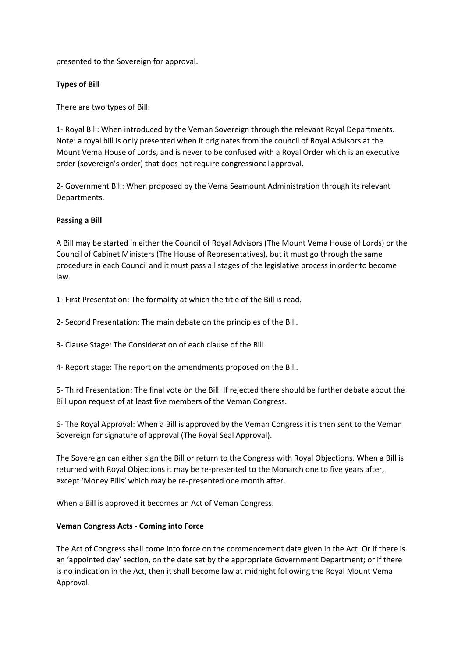presented to the Sovereign for approval.

# **Types of Bill**

There are two types of Bill:

1- Royal Bill: When introduced by the Veman Sovereign through the relevant Royal Departments. Note: a royal bill is only presented when it originates from the council of Royal Advisors at the Mount Vema House of Lords, and is never to be confused with a Royal Order which is an executive order (sovereign's order) that does not require congressional approval.

2- Government Bill: When proposed by the Vema Seamount Administration through its relevant Departments.

# **Passing a Bill**

A Bill may be started in either the Council of Royal Advisors (The Mount Vema House of Lords) or the Council of Cabinet Ministers (The House of Representatives), but it must go through the same procedure in each Council and it must pass all stages of the legislative process in order to become law.

1- First Presentation: The formality at which the title of the Bill is read.

2- Second Presentation: The main debate on the principles of the Bill.

3- Clause Stage: The Consideration of each clause of the Bill.

4- Report stage: The report on the amendments proposed on the Bill.

5- Third Presentation: The final vote on the Bill. If rejected there should be further debate about the Bill upon request of at least five members of the Veman Congress.

6- The Royal Approval: When a Bill is approved by the Veman Congress it is then sent to the Veman Sovereign for signature of approval (The Royal Seal Approval).

The Sovereign can either sign the Bill or return to the Congress with Royal Objections. When a Bill is returned with Royal Objections it may be re-presented to the Monarch one to five years after, except 'Money Bills' which may be re-presented one month after.

When a Bill is approved it becomes an Act of Veman Congress.

# **Veman Congress Acts - Coming into Force**

The Act of Congress shall come into force on the commencement date given in the Act. Or if there is an 'appointed day' section, on the date set by the appropriate Government Department; or if there is no indication in the Act, then it shall become law at midnight following the Royal Mount Vema Approval.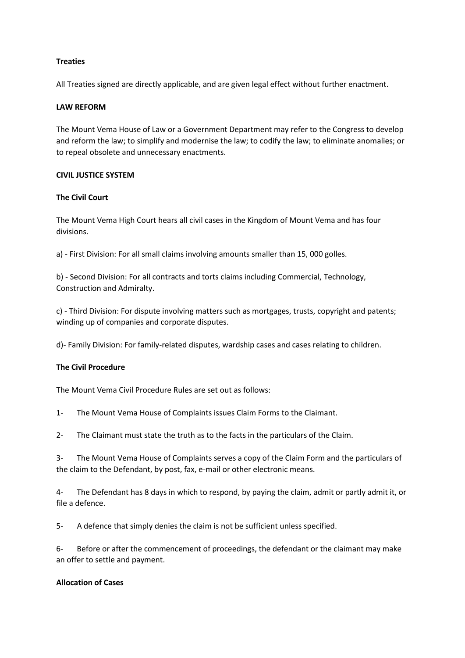# **Treaties**

All Treaties signed are directly applicable, and are given legal effect without further enactment.

# **LAW REFORM**

The Mount Vema House of Law or a Government Department may refer to the Congress to develop and reform the law; to simplify and modernise the law; to codify the law; to eliminate anomalies; or to repeal obsolete and unnecessary enactments.

# **CIVIL JUSTICE SYSTEM**

# **The Civil Court**

The Mount Vema High Court hears all civil cases in the Kingdom of Mount Vema and has four divisions.

a) - First Division: For all small claims involving amounts smaller than 15, 000 golles.

b) - Second Division: For all contracts and torts claims including Commercial, Technology, Construction and Admiralty.

c) - Third Division: For dispute involving matters such as mortgages, trusts, copyright and patents; winding up of companies and corporate disputes.

d)- Family Division: For family-related disputes, wardship cases and cases relating to children.

# **The Civil Procedure**

The Mount Vema Civil Procedure Rules are set out as follows:

1- The Mount Vema House of Complaints issues Claim Forms to the Claimant.

2- The Claimant must state the truth as to the facts in the particulars of the Claim.

3- The Mount Vema House of Complaints serves a copy of the Claim Form and the particulars of the claim to the Defendant, by post, fax, e-mail or other electronic means.

4- The Defendant has 8 days in which to respond, by paying the claim, admit or partly admit it, or file a defence.

5- A defence that simply denies the claim is not be sufficient unless specified.

6- Before or after the commencement of proceedings, the defendant or the claimant may make an offer to settle and payment.

# **Allocation of Cases**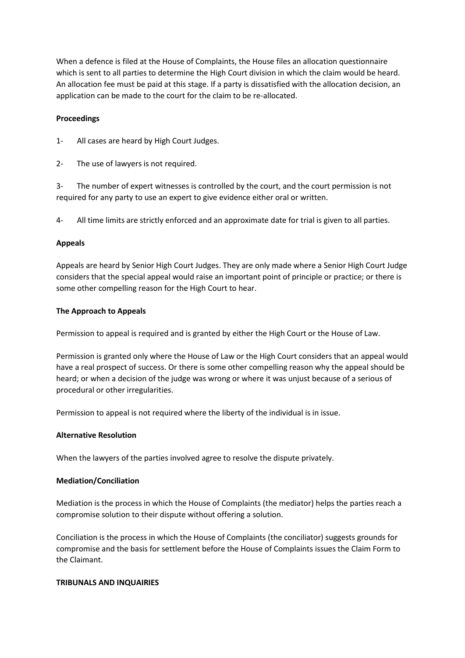When a defence is filed at the House of Complaints, the House files an allocation questionnaire which is sent to all parties to determine the High Court division in which the claim would be heard. An allocation fee must be paid at this stage. If a party is dissatisfied with the allocation decision, an application can be made to the court for the claim to be re-allocated.

# **Proceedings**

- 1- All cases are heard by High Court Judges.
- 2- The use of lawyers is not required.

3- The number of expert witnesses is controlled by the court, and the court permission is not required for any party to use an expert to give evidence either oral or written.

4- All time limits are strictly enforced and an approximate date for trial is given to all parties.

# **Appeals**

Appeals are heard by Senior High Court Judges. They are only made where a Senior High Court Judge considers that the special appeal would raise an important point of principle or practice; or there is some other compelling reason for the High Court to hear.

# **The Approach to Appeals**

Permission to appeal is required and is granted by either the High Court or the House of Law.

Permission is granted only where the House of Law or the High Court considers that an appeal would have a real prospect of success. Or there is some other compelling reason why the appeal should be heard; or when a decision of the judge was wrong or where it was unjust because of a serious of procedural or other irregularities.

Permission to appeal is not required where the liberty of the individual is in issue.

# **Alternative Resolution**

When the lawyers of the parties involved agree to resolve the dispute privately.

# **Mediation/Conciliation**

Mediation is the process in which the House of Complaints (the mediator) helps the parties reach a compromise solution to their dispute without offering a solution.

Conciliation is the process in which the House of Complaints (the conciliator) suggests grounds for compromise and the basis for settlement before the House of Complaints issues the Claim Form to the Claimant.

# **TRIBUNALS AND INQUAIRIES**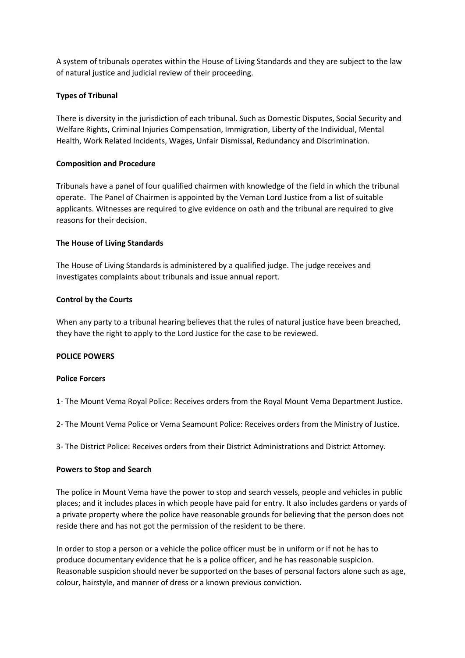A system of tribunals operates within the House of Living Standards and they are subject to the law of natural justice and judicial review of their proceeding.

# **Types of Tribunal**

There is diversity in the jurisdiction of each tribunal. Such as Domestic Disputes, Social Security and Welfare Rights, Criminal Injuries Compensation, Immigration, Liberty of the Individual, Mental Health, Work Related Incidents, Wages, Unfair Dismissal, Redundancy and Discrimination.

# **Composition and Procedure**

Tribunals have a panel of four qualified chairmen with knowledge of the field in which the tribunal operate. The Panel of Chairmen is appointed by the Veman Lord Justice from a list of suitable applicants. Witnesses are required to give evidence on oath and the tribunal are required to give reasons for their decision.

# **The House of Living Standards**

The House of Living Standards is administered by a qualified judge. The judge receives and investigates complaints about tribunals and issue annual report.

# **Control by the Courts**

When any party to a tribunal hearing believes that the rules of natural justice have been breached, they have the right to apply to the Lord Justice for the case to be reviewed.

# **POLICE POWERS**

# **Police Forcers**

1- The Mount Vema Royal Police: Receives orders from the Royal Mount Vema Department Justice.

2- The Mount Vema Police or Vema Seamount Police: Receives orders from the Ministry of Justice.

3- The District Police: Receives orders from their District Administrations and District Attorney.

# **Powers to Stop and Search**

The police in Mount Vema have the power to stop and search vessels, people and vehicles in public places; and it includes places in which people have paid for entry. It also includes gardens or yards of a private property where the police have reasonable grounds for believing that the person does not reside there and has not got the permission of the resident to be there.

In order to stop a person or a vehicle the police officer must be in uniform or if not he has to produce documentary evidence that he is a police officer, and he has reasonable suspicion. Reasonable suspicion should never be supported on the bases of personal factors alone such as age, colour, hairstyle, and manner of dress or a known previous conviction.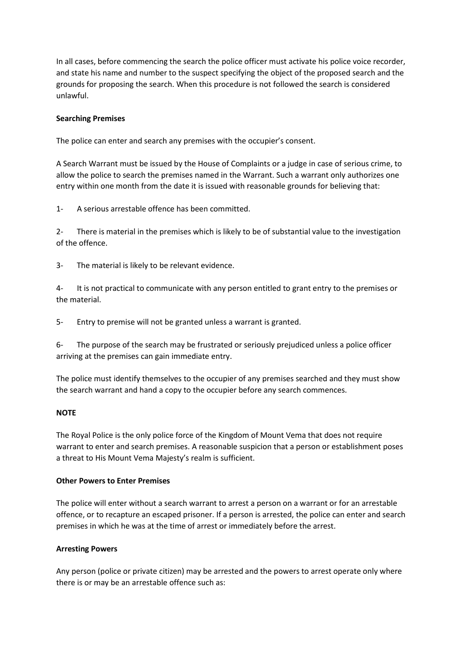In all cases, before commencing the search the police officer must activate his police voice recorder, and state his name and number to the suspect specifying the object of the proposed search and the grounds for proposing the search. When this procedure is not followed the search is considered unlawful.

# **Searching Premises**

The police can enter and search any premises with the occupier's consent.

A Search Warrant must be issued by the House of Complaints or a judge in case of serious crime, to allow the police to search the premises named in the Warrant. Such a warrant only authorizes one entry within one month from the date it is issued with reasonable grounds for believing that:

1- A serious arrestable offence has been committed.

2- There is material in the premises which is likely to be of substantial value to the investigation of the offence.

3- The material is likely to be relevant evidence.

4- It is not practical to communicate with any person entitled to grant entry to the premises or the material.

5- Entry to premise will not be granted unless a warrant is granted.

6- The purpose of the search may be frustrated or seriously prejudiced unless a police officer arriving at the premises can gain immediate entry.

The police must identify themselves to the occupier of any premises searched and they must show the search warrant and hand a copy to the occupier before any search commences.

# **NOTE**

The Royal Police is the only police force of the Kingdom of Mount Vema that does not require warrant to enter and search premises. A reasonable suspicion that a person or establishment poses a threat to His Mount Vema Majesty's realm is sufficient.

# **Other Powers to Enter Premises**

The police will enter without a search warrant to arrest a person on a warrant or for an arrestable offence, or to recapture an escaped prisoner. If a person is arrested, the police can enter and search premises in which he was at the time of arrest or immediately before the arrest.

# **Arresting Powers**

Any person (police or private citizen) may be arrested and the powers to arrest operate only where there is or may be an arrestable offence such as: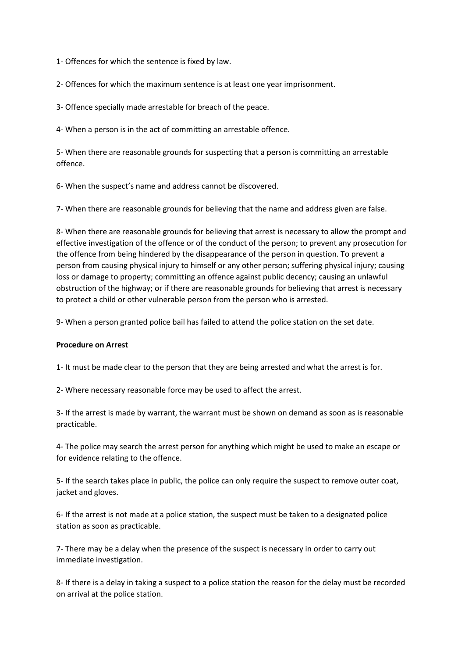1- Offences for which the sentence is fixed by law.

2- Offences for which the maximum sentence is at least one year imprisonment.

3- Offence specially made arrestable for breach of the peace.

4- When a person is in the act of committing an arrestable offence.

5- When there are reasonable grounds for suspecting that a person is committing an arrestable offence.

6- When the suspect's name and address cannot be discovered.

7- When there are reasonable grounds for believing that the name and address given are false.

8- When there are reasonable grounds for believing that arrest is necessary to allow the prompt and effective investigation of the offence or of the conduct of the person; to prevent any prosecution for the offence from being hindered by the disappearance of the person in question. To prevent a person from causing physical injury to himself or any other person; suffering physical injury; causing loss or damage to property; committing an offence against public decency; causing an unlawful obstruction of the highway; or if there are reasonable grounds for believing that arrest is necessary to protect a child or other vulnerable person from the person who is arrested.

9- When a person granted police bail has failed to attend the police station on the set date.

# **Procedure on Arrest**

1- It must be made clear to the person that they are being arrested and what the arrest is for.

2- Where necessary reasonable force may be used to affect the arrest.

3- If the arrest is made by warrant, the warrant must be shown on demand as soon as is reasonable practicable.

4- The police may search the arrest person for anything which might be used to make an escape or for evidence relating to the offence.

5- If the search takes place in public, the police can only require the suspect to remove outer coat, jacket and gloves.

6- If the arrest is not made at a police station, the suspect must be taken to a designated police station as soon as practicable.

7- There may be a delay when the presence of the suspect is necessary in order to carry out immediate investigation.

8- If there is a delay in taking a suspect to a police station the reason for the delay must be recorded on arrival at the police station.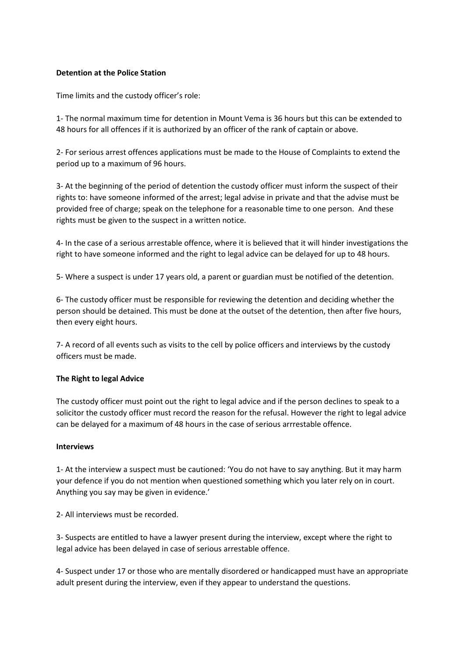# **Detention at the Police Station**

Time limits and the custody officer's role:

1- The normal maximum time for detention in Mount Vema is 36 hours but this can be extended to 48 hours for all offences if it is authorized by an officer of the rank of captain or above.

2- For serious arrest offences applications must be made to the House of Complaints to extend the period up to a maximum of 96 hours.

3- At the beginning of the period of detention the custody officer must inform the suspect of their rights to: have someone informed of the arrest; legal advise in private and that the advise must be provided free of charge; speak on the telephone for a reasonable time to one person. And these rights must be given to the suspect in a written notice.

4- In the case of a serious arrestable offence, where it is believed that it will hinder investigations the right to have someone informed and the right to legal advice can be delayed for up to 48 hours.

5- Where a suspect is under 17 years old, a parent or guardian must be notified of the detention.

6- The custody officer must be responsible for reviewing the detention and deciding whether the person should be detained. This must be done at the outset of the detention, then after five hours, then every eight hours.

7- A record of all events such as visits to the cell by police officers and interviews by the custody officers must be made.

# **The Right to legal Advice**

The custody officer must point out the right to legal advice and if the person declines to speak to a solicitor the custody officer must record the reason for the refusal. However the right to legal advice can be delayed for a maximum of 48 hours in the case of serious arrrestable offence.

# **Interviews**

1- At the interview a suspect must be cautioned: 'You do not have to say anything. But it may harm your defence if you do not mention when questioned something which you later rely on in court. Anything you say may be given in evidence.'

2- All interviews must be recorded.

3- Suspects are entitled to have a lawyer present during the interview, except where the right to legal advice has been delayed in case of serious arrestable offence.

4- Suspect under 17 or those who are mentally disordered or handicapped must have an appropriate adult present during the interview, even if they appear to understand the questions.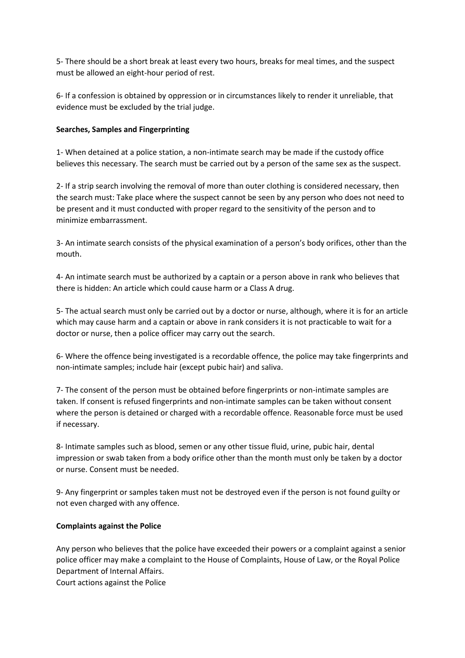5- There should be a short break at least every two hours, breaks for meal times, and the suspect must be allowed an eight-hour period of rest.

6- If a confession is obtained by oppression or in circumstances likely to render it unreliable, that evidence must be excluded by the trial judge.

# **Searches, Samples and Fingerprinting**

1- When detained at a police station, a non-intimate search may be made if the custody office believes this necessary. The search must be carried out by a person of the same sex as the suspect.

2- If a strip search involving the removal of more than outer clothing is considered necessary, then the search must: Take place where the suspect cannot be seen by any person who does not need to be present and it must conducted with proper regard to the sensitivity of the person and to minimize embarrassment.

3- An intimate search consists of the physical examination of a person's body orifices, other than the mouth.

4- An intimate search must be authorized by a captain or a person above in rank who believes that there is hidden: An article which could cause harm or a Class A drug.

5- The actual search must only be carried out by a doctor or nurse, although, where it is for an article which may cause harm and a captain or above in rank considers it is not practicable to wait for a doctor or nurse, then a police officer may carry out the search.

6- Where the offence being investigated is a recordable offence, the police may take fingerprints and non-intimate samples; include hair (except pubic hair) and saliva.

7- The consent of the person must be obtained before fingerprints or non-intimate samples are taken. If consent is refused fingerprints and non-intimate samples can be taken without consent where the person is detained or charged with a recordable offence. Reasonable force must be used if necessary.

8- Intimate samples such as blood, semen or any other tissue fluid, urine, pubic hair, dental impression or swab taken from a body orifice other than the month must only be taken by a doctor or nurse. Consent must be needed.

9- Any fingerprint or samples taken must not be destroyed even if the person is not found guilty or not even charged with any offence.

# **Complaints against the Police**

Any person who believes that the police have exceeded their powers or a complaint against a senior police officer may make a complaint to the House of Complaints, House of Law, or the Royal Police Department of Internal Affairs.

Court actions against the Police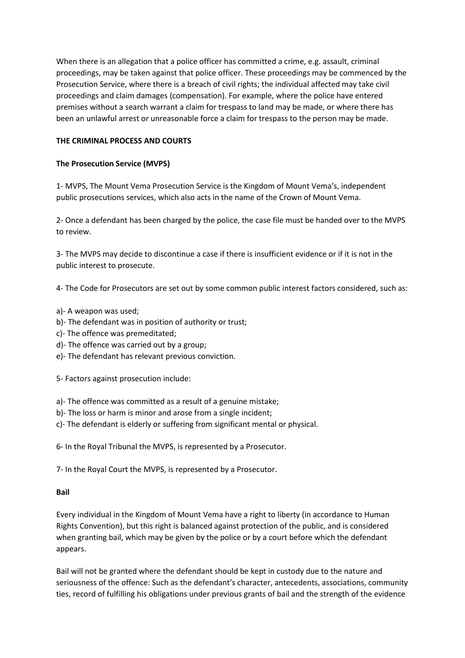When there is an allegation that a police officer has committed a crime, e.g. assault, criminal proceedings, may be taken against that police officer. These proceedings may be commenced by the Prosecution Service, where there is a breach of civil rights; the individual affected may take civil proceedings and claim damages (compensation). For example, where the police have entered premises without a search warrant a claim for trespass to land may be made, or where there has been an unlawful arrest or unreasonable force a claim for trespass to the person may be made.

# **THE CRIMINAL PROCESS AND COURTS**

# **The Prosecution Service (MVPS)**

1- MVPS, The Mount Vema Prosecution Service is the Kingdom of Mount Vema's, independent public prosecutions services, which also acts in the name of the Crown of Mount Vema.

2- Once a defendant has been charged by the police, the case file must be handed over to the MVPS to review.

3- The MVPS may decide to discontinue a case if there is insufficient evidence or if it is not in the public interest to prosecute.

4- The Code for Prosecutors are set out by some common public interest factors considered, such as:

- a)- A weapon was used;
- b)- The defendant was in position of authority or trust;
- c)- The offence was premeditated;
- d)- The offence was carried out by a group;
- e)- The defendant has relevant previous conviction.

5- Factors against prosecution include:

a)- The offence was committed as a result of a genuine mistake;

- b)- The loss or harm is minor and arose from a single incident;
- c)- The defendant is elderly or suffering from significant mental or physical.

6- In the Royal Tribunal the MVPS, is represented by a Prosecutor.

7- In the Royal Court the MVPS, is represented by a Prosecutor.

# **Bail**

Every individual in the Kingdom of Mount Vema have a right to liberty (in accordance to Human Rights Convention), but this right is balanced against protection of the public, and is considered when granting bail, which may be given by the police or by a court before which the defendant appears.

Bail will not be granted where the defendant should be kept in custody due to the nature and seriousness of the offence: Such as the defendant's character, antecedents, associations, community ties, record of fulfilling his obligations under previous grants of bail and the strength of the evidence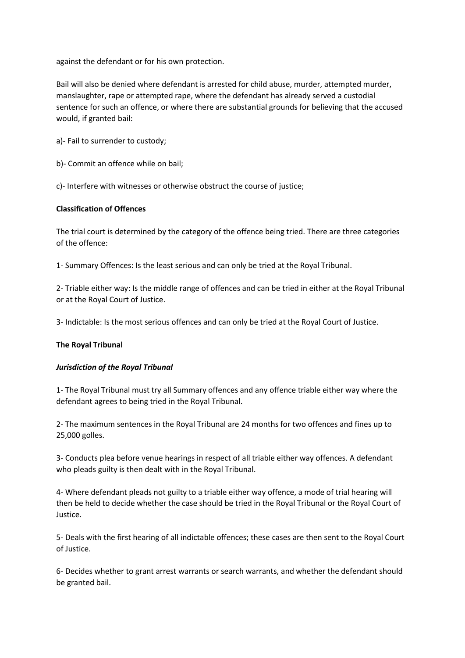against the defendant or for his own protection.

Bail will also be denied where defendant is arrested for child abuse, murder, attempted murder, manslaughter, rape or attempted rape, where the defendant has already served a custodial sentence for such an offence, or where there are substantial grounds for believing that the accused would, if granted bail:

a)- Fail to surrender to custody;

b)- Commit an offence while on bail;

c)- Interfere with witnesses or otherwise obstruct the course of justice;

# **Classification of Offences**

The trial court is determined by the category of the offence being tried. There are three categories of the offence:

1- Summary Offences: Is the least serious and can only be tried at the Royal Tribunal.

2- Triable either way: Is the middle range of offences and can be tried in either at the Royal Tribunal or at the Royal Court of Justice.

3- Indictable: Is the most serious offences and can only be tried at the Royal Court of Justice.

# **The Royal Tribunal**

# *Jurisdiction of the Royal Tribunal*

1- The Royal Tribunal must try all Summary offences and any offence triable either way where the defendant agrees to being tried in the Royal Tribunal.

2- The maximum sentences in the Royal Tribunal are 24 months for two offences and fines up to 25,000 golles.

3- Conducts plea before venue hearings in respect of all triable either way offences. A defendant who pleads guilty is then dealt with in the Royal Tribunal.

4- Where defendant pleads not guilty to a triable either way offence, a mode of trial hearing will then be held to decide whether the case should be tried in the Royal Tribunal or the Royal Court of Justice.

5- Deals with the first hearing of all indictable offences; these cases are then sent to the Royal Court of Justice.

6- Decides whether to grant arrest warrants or search warrants, and whether the defendant should be granted bail.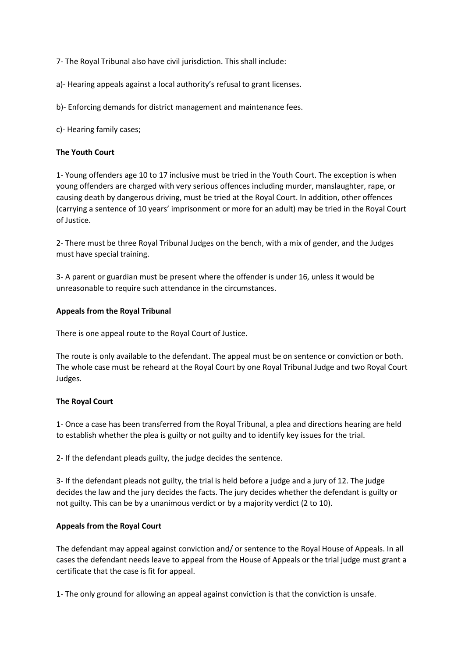7- The Royal Tribunal also have civil jurisdiction. This shall include:

a)- Hearing appeals against a local authority's refusal to grant licenses.

b)- Enforcing demands for district management and maintenance fees.

c)- Hearing family cases;

### **The Youth Court**

1- Young offenders age 10 to 17 inclusive must be tried in the Youth Court. The exception is when young offenders are charged with very serious offences including murder, manslaughter, rape, or causing death by dangerous driving, must be tried at the Royal Court. In addition, other offences (carrying a sentence of 10 years' imprisonment or more for an adult) may be tried in the Royal Court of Justice.

2- There must be three Royal Tribunal Judges on the bench, with a mix of gender, and the Judges must have special training.

3- A parent or guardian must be present where the offender is under 16, unless it would be unreasonable to require such attendance in the circumstances.

#### **Appeals from the Royal Tribunal**

There is one appeal route to the Royal Court of Justice.

The route is only available to the defendant. The appeal must be on sentence or conviction or both. The whole case must be reheard at the Royal Court by one Royal Tribunal Judge and two Royal Court Judges.

# **The Royal Court**

1- Once a case has been transferred from the Royal Tribunal, a plea and directions hearing are held to establish whether the plea is guilty or not guilty and to identify key issues for the trial.

2- If the defendant pleads guilty, the judge decides the sentence.

3- If the defendant pleads not guilty, the trial is held before a judge and a jury of 12. The judge decides the law and the jury decides the facts. The jury decides whether the defendant is guilty or not guilty. This can be by a unanimous verdict or by a majority verdict (2 to 10).

# **Appeals from the Royal Court**

The defendant may appeal against conviction and/ or sentence to the Royal House of Appeals. In all cases the defendant needs leave to appeal from the House of Appeals or the trial judge must grant a certificate that the case is fit for appeal.

1- The only ground for allowing an appeal against conviction is that the conviction is unsafe.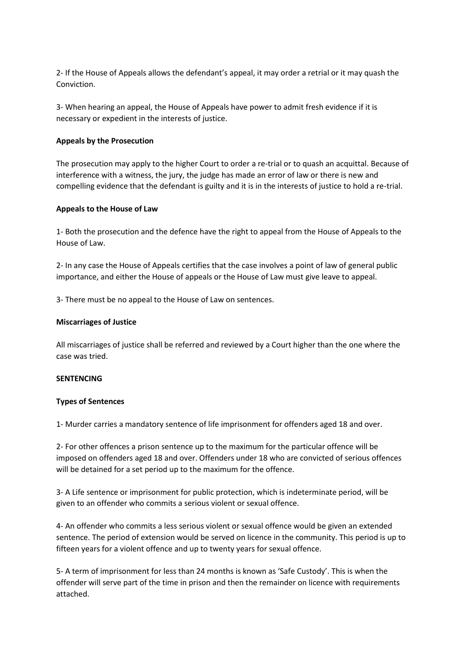2- If the House of Appeals allows the defendant's appeal, it may order a retrial or it may quash the Conviction.

3- When hearing an appeal, the House of Appeals have power to admit fresh evidence if it is necessary or expedient in the interests of justice.

# **Appeals by the Prosecution**

The prosecution may apply to the higher Court to order a re-trial or to quash an acquittal. Because of interference with a witness, the jury, the judge has made an error of law or there is new and compelling evidence that the defendant is guilty and it is in the interests of justice to hold a re-trial.

# **Appeals to the House of Law**

1- Both the prosecution and the defence have the right to appeal from the House of Appeals to the House of Law.

2- In any case the House of Appeals certifies that the case involves a point of law of general public importance, and either the House of appeals or the House of Law must give leave to appeal.

3- There must be no appeal to the House of Law on sentences.

# **Miscarriages of Justice**

All miscarriages of justice shall be referred and reviewed by a Court higher than the one where the case was tried.

# **SENTENCING**

# **Types of Sentences**

1- Murder carries a mandatory sentence of life imprisonment for offenders aged 18 and over.

2- For other offences a prison sentence up to the maximum for the particular offence will be imposed on offenders aged 18 and over. Offenders under 18 who are convicted of serious offences will be detained for a set period up to the maximum for the offence.

3- A Life sentence or imprisonment for public protection, which is indeterminate period, will be given to an offender who commits a serious violent or sexual offence.

4- An offender who commits a less serious violent or sexual offence would be given an extended sentence. The period of extension would be served on licence in the community. This period is up to fifteen years for a violent offence and up to twenty years for sexual offence.

5- A term of imprisonment for less than 24 months is known as 'Safe Custody'. This is when the offender will serve part of the time in prison and then the remainder on licence with requirements attached.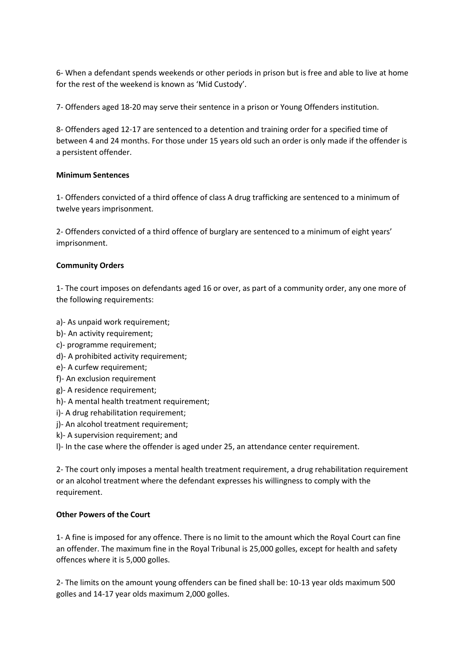6- When a defendant spends weekends or other periods in prison but is free and able to live at home for the rest of the weekend is known as 'Mid Custody'.

7- Offenders aged 18-20 may serve their sentence in a prison or Young Offenders institution.

8- Offenders aged 12-17 are sentenced to a detention and training order for a specified time of between 4 and 24 months. For those under 15 years old such an order is only made if the offender is a persistent offender.

# **Minimum Sentences**

1- Offenders convicted of a third offence of class A drug trafficking are sentenced to a minimum of twelve years imprisonment.

2- Offenders convicted of a third offence of burglary are sentenced to a minimum of eight years' imprisonment.

# **Community Orders**

1- The court imposes on defendants aged 16 or over, as part of a community order, any one more of the following requirements:

- a)- As unpaid work requirement;
- b)- An activity requirement;
- c)- programme requirement;
- d)- A prohibited activity requirement;
- e)- A curfew requirement;
- f)- An exclusion requirement
- g)- A residence requirement;
- h)- A mental health treatment requirement;
- i)- A drug rehabilitation requirement;
- j)- An alcohol treatment requirement;
- k)- A supervision requirement; and
- l)- In the case where the offender is aged under 25, an attendance center requirement.

2- The court only imposes a mental health treatment requirement, a drug rehabilitation requirement or an alcohol treatment where the defendant expresses his willingness to comply with the requirement.

# **Other Powers of the Court**

1- A fine is imposed for any offence. There is no limit to the amount which the Royal Court can fine an offender. The maximum fine in the Royal Tribunal is 25,000 golles, except for health and safety offences where it is 5,000 golles.

2- The limits on the amount young offenders can be fined shall be: 10-13 year olds maximum 500 golles and 14-17 year olds maximum 2,000 golles.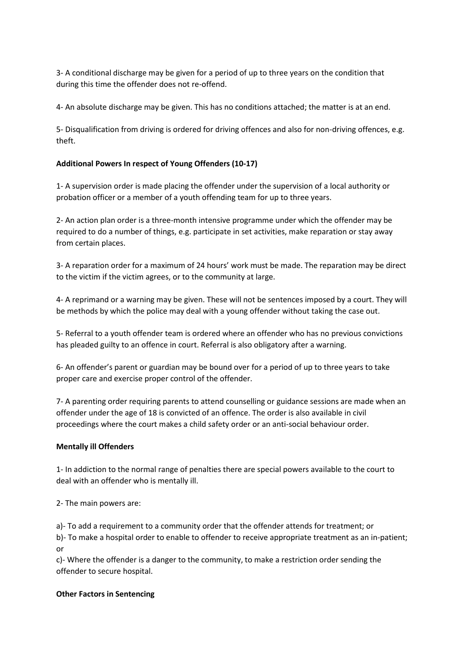3- A conditional discharge may be given for a period of up to three years on the condition that during this time the offender does not re-offend.

4- An absolute discharge may be given. This has no conditions attached; the matter is at an end.

5- Disqualification from driving is ordered for driving offences and also for non-driving offences, e.g. theft.

# **Additional Powers In respect of Young Offenders (10-17)**

1- A supervision order is made placing the offender under the supervision of a local authority or probation officer or a member of a youth offending team for up to three years.

2- An action plan order is a three-month intensive programme under which the offender may be required to do a number of things, e.g. participate in set activities, make reparation or stay away from certain places.

3- A reparation order for a maximum of 24 hours' work must be made. The reparation may be direct to the victim if the victim agrees, or to the community at large.

4- A reprimand or a warning may be given. These will not be sentences imposed by a court. They will be methods by which the police may deal with a young offender without taking the case out.

5- Referral to a youth offender team is ordered where an offender who has no previous convictions has pleaded guilty to an offence in court. Referral is also obligatory after a warning.

6- An offender's parent or guardian may be bound over for a period of up to three years to take proper care and exercise proper control of the offender.

7- A parenting order requiring parents to attend counselling or guidance sessions are made when an offender under the age of 18 is convicted of an offence. The order is also available in civil proceedings where the court makes a child safety order or an anti-social behaviour order.

# **Mentally ill Offenders**

1- In addiction to the normal range of penalties there are special powers available to the court to deal with an offender who is mentally ill.

2- The main powers are:

a)- To add a requirement to a community order that the offender attends for treatment; or

b)- To make a hospital order to enable to offender to receive appropriate treatment as an in-patient; or

c)- Where the offender is a danger to the community, to make a restriction order sending the offender to secure hospital.

# **Other Factors in Sentencing**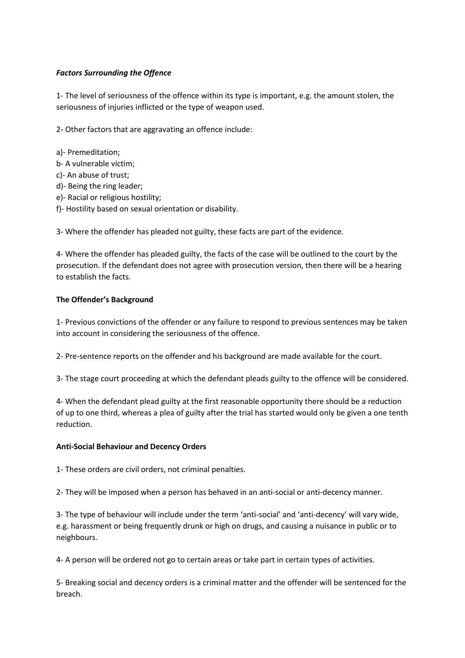# *Factors Surrounding the Offence*

1- The level of seriousness of the offence within its type is important, e.g. the amount stolen, the seriousness of injuries inflicted or the type of weapon used.

2- Other factors that are aggravating an offence include:

a)- Premeditation; b- A vulnerable victim; c)- An abuse of trust; d)- Being the ring leader; e)- Racial or religious hostility; f)- Hostility based on sexual orientation or disability.

3- Where the offender has pleaded not guilty, these facts are part of the evidence.

4- Where the offender has pleaded guilty, the facts of the case will be outlined to the court by the prosecution. If the defendant does not agree with prosecution version, then there will be a hearing to establish the facts.

# **The Offender's Background**

1- Previous convictions of the offender or any failure to respond to previous sentences may be taken into account in considering the seriousness of the offence.

2- Pre-sentence reports on the offender and his background are made available for the court.

3- The stage court proceeding at which the defendant pleads guilty to the offence will be considered.

4- When the defendant plead guilty at the first reasonable opportunity there should be a reduction of up to one third, whereas a plea of guilty after the trial has started would only be given a one tenth reduction.

# **Anti-Social Behaviour and Decency Orders**

1- These orders are civil orders, not criminal penalties.

2- They will be imposed when a person has behaved in an anti-social or anti-decency manner.

3- The type of behaviour will include under the term 'anti-social' and 'anti-decency' will vary wide, e.g. harassment or being frequently drunk or high on drugs, and causing a nuisance in public or to neighbours.

4- A person will be ordered not go to certain areas or take part in certain types of activities.

5- Breaking social and decency orders is a criminal matter and the offender will be sentenced for the breach.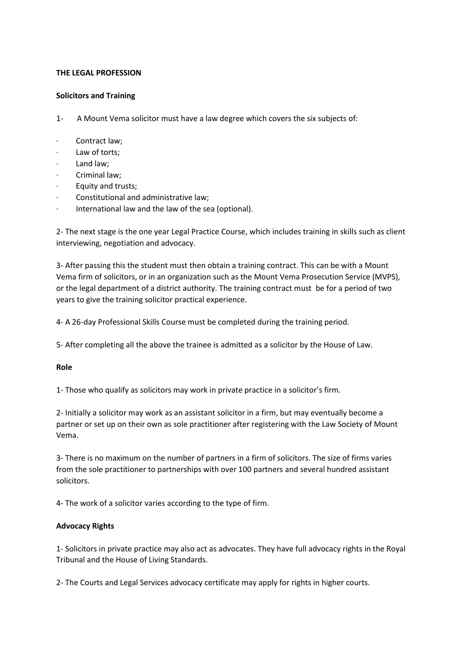### **THE LEGAL PROFESSION**

### **Solicitors and Training**

- 1- A Mount Vema solicitor must have a law degree which covers the six subjects of:
- Contract law;
- Law of torts;
- Land law;
- · Criminal law;
- · Equity and trusts;
- · Constitutional and administrative law;
- International law and the law of the sea (optional).

2- The next stage is the one year Legal Practice Course, which includes training in skills such as client interviewing, negotiation and advocacy.

3- After passing this the student must then obtain a training contract. This can be with a Mount Vema firm of solicitors, or in an organization such as the Mount Vema Prosecution Service (MVPS), or the legal department of a district authority. The training contract must be for a period of two years to give the training solicitor practical experience.

4- A 26-day Professional Skills Course must be completed during the training period.

5- After completing all the above the trainee is admitted as a solicitor by the House of Law.

# **Role**

1- Those who qualify as solicitors may work in private practice in a solicitor's firm.

2- Initially a solicitor may work as an assistant solicitor in a firm, but may eventually become a partner or set up on their own as sole practitioner after registering with the Law Society of Mount Vema.

3- There is no maximum on the number of partners in a firm of solicitors. The size of firms varies from the sole practitioner to partnerships with over 100 partners and several hundred assistant solicitors.

4- The work of a solicitor varies according to the type of firm.

# **Advocacy Rights**

1- Solicitors in private practice may also act as advocates. They have full advocacy rights in the Royal Tribunal and the House of Living Standards.

2- The Courts and Legal Services advocacy certificate may apply for rights in higher courts.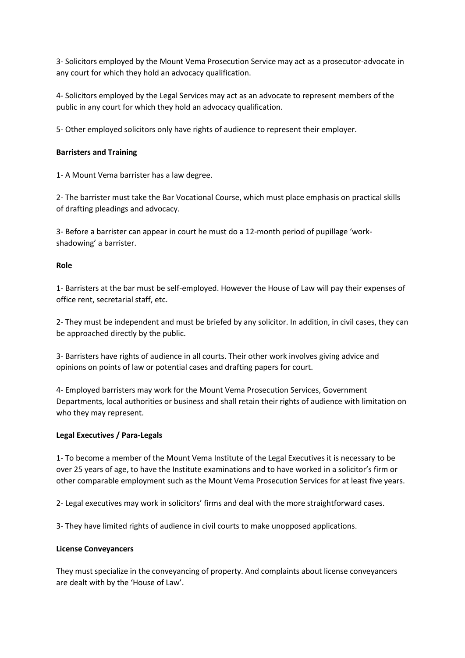3- Solicitors employed by the Mount Vema Prosecution Service may act as a prosecutor-advocate in any court for which they hold an advocacy qualification.

4- Solicitors employed by the Legal Services may act as an advocate to represent members of the public in any court for which they hold an advocacy qualification.

5- Other employed solicitors only have rights of audience to represent their employer.

# **Barristers and Training**

1- A Mount Vema barrister has a law degree.

2- The barrister must take the Bar Vocational Course, which must place emphasis on practical skills of drafting pleadings and advocacy.

3- Before a barrister can appear in court he must do a 12-month period of pupillage 'workshadowing' a barrister.

# **Role**

1- Barristers at the bar must be self-employed. However the House of Law will pay their expenses of office rent, secretarial staff, etc.

2- They must be independent and must be briefed by any solicitor. In addition, in civil cases, they can be approached directly by the public.

3- Barristers have rights of audience in all courts. Their other work involves giving advice and opinions on points of law or potential cases and drafting papers for court.

4- Employed barristers may work for the Mount Vema Prosecution Services, Government Departments, local authorities or business and shall retain their rights of audience with limitation on who they may represent.

# **Legal Executives / Para-Legals**

1- To become a member of the Mount Vema Institute of the Legal Executives it is necessary to be over 25 years of age, to have the Institute examinations and to have worked in a solicitor's firm or other comparable employment such as the Mount Vema Prosecution Services for at least five years.

2- Legal executives may work in solicitors' firms and deal with the more straightforward cases.

3- They have limited rights of audience in civil courts to make unopposed applications.

# **License Conveyancers**

They must specialize in the conveyancing of property. And complaints about license conveyancers are dealt with by the 'House of Law'.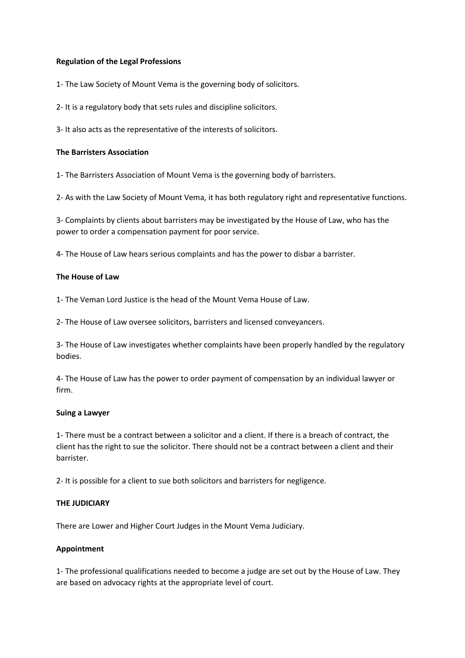# **Regulation of the Legal Professions**

1- The Law Society of Mount Vema is the governing body of solicitors.

2- It is a regulatory body that sets rules and discipline solicitors.

3- It also acts as the representative of the interests of solicitors.

# **The Barristers Association**

1- The Barristers Association of Mount Vema is the governing body of barristers.

2- As with the Law Society of Mount Vema, it has both regulatory right and representative functions.

3- Complaints by clients about barristers may be investigated by the House of Law, who has the power to order a compensation payment for poor service.

4- The House of Law hears serious complaints and has the power to disbar a barrister.

# **The House of Law**

1- The Veman Lord Justice is the head of the Mount Vema House of Law.

2- The House of Law oversee solicitors, barristers and licensed conveyancers.

3- The House of Law investigates whether complaints have been properly handled by the regulatory bodies.

4- The House of Law has the power to order payment of compensation by an individual lawyer or firm.

# **Suing a Lawyer**

1- There must be a contract between a solicitor and a client. If there is a breach of contract, the client has the right to sue the solicitor. There should not be a contract between a client and their barrister.

2- It is possible for a client to sue both solicitors and barristers for negligence.

# **THE JUDICIARY**

There are Lower and Higher Court Judges in the Mount Vema Judiciary.

# **Appointment**

1- The professional qualifications needed to become a judge are set out by the House of Law. They are based on advocacy rights at the appropriate level of court.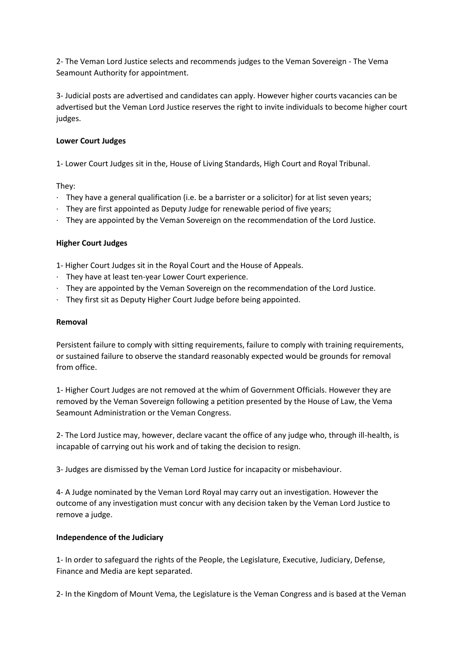2- The Veman Lord Justice selects and recommends judges to the Veman Sovereign - The Vema Seamount Authority for appointment.

3- Judicial posts are advertised and candidates can apply. However higher courts vacancies can be advertised but the Veman Lord Justice reserves the right to invite individuals to become higher court judges.

# **Lower Court Judges**

1- Lower Court Judges sit in the, House of Living Standards, High Court and Royal Tribunal.

They:

- · They have a general qualification (i.e. be a barrister or a solicitor) for at list seven years;
- · They are first appointed as Deputy Judge for renewable period of five years;
- · They are appointed by the Veman Sovereign on the recommendation of the Lord Justice.

# **Higher Court Judges**

1- Higher Court Judges sit in the Royal Court and the House of Appeals.

- · They have at least ten-year Lower Court experience.
- · They are appointed by the Veman Sovereign on the recommendation of the Lord Justice.
- · They first sit as Deputy Higher Court Judge before being appointed.

# **Removal**

Persistent failure to comply with sitting requirements, failure to comply with training requirements, or sustained failure to observe the standard reasonably expected would be grounds for removal from office.

1- Higher Court Judges are not removed at the whim of Government Officials. However they are removed by the Veman Sovereign following a petition presented by the House of Law, the Vema Seamount Administration or the Veman Congress.

2- The Lord Justice may, however, declare vacant the office of any judge who, through ill-health, is incapable of carrying out his work and of taking the decision to resign.

3- Judges are dismissed by the Veman Lord Justice for incapacity or misbehaviour.

4- A Judge nominated by the Veman Lord Royal may carry out an investigation. However the outcome of any investigation must concur with any decision taken by the Veman Lord Justice to remove a judge.

# **Independence of the Judiciary**

1- In order to safeguard the rights of the People, the Legislature, Executive, Judiciary, Defense, Finance and Media are kept separated.

2- In the Kingdom of Mount Vema, the Legislature is the Veman Congress and is based at the Veman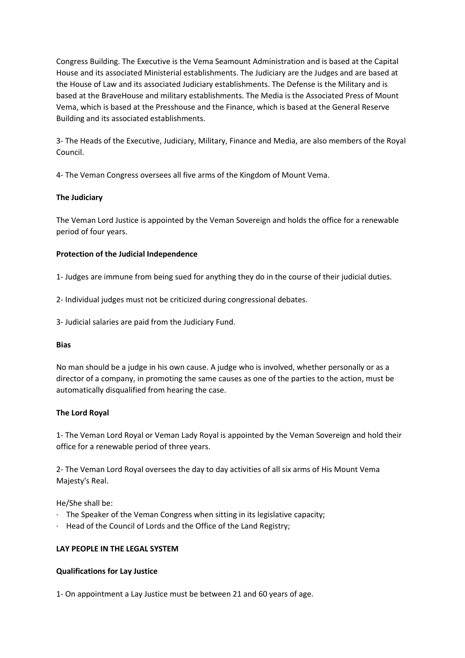Congress Building. The Executive is the Vema Seamount Administration and is based at the Capital House and its associated Ministerial establishments. The Judiciary are the Judges and are based at the House of Law and its associated Judiciary establishments. The Defense is the Military and is based at the BraveHouse and military establishments. The Media is the Associated Press of Mount Vema, which is based at the Presshouse and the Finance, which is based at the General Reserve Building and its associated establishments.

3- The Heads of the Executive, Judiciary, Military, Finance and Media, are also members of the Royal Council.

4- The Veman Congress oversees all five arms of the Kingdom of Mount Vema.

# **The Judiciary**

The Veman Lord Justice is appointed by the Veman Sovereign and holds the office for a renewable period of four years.

# **Protection of the Judicial Independence**

1- Judges are immune from being sued for anything they do in the course of their judicial duties.

2- Individual judges must not be criticized during congressional debates.

3- Judicial salaries are paid from the Judiciary Fund.

# **Bias**

No man should be a judge in his own cause. A judge who is involved, whether personally or as a director of a company, in promoting the same causes as one of the parties to the action, must be automatically disqualified from hearing the case.

# **The Lord Royal**

1- The Veman Lord Royal or Veman Lady Royal is appointed by the Veman Sovereign and hold their office for a renewable period of three years.

2- The Veman Lord Royal oversees the day to day activities of all six arms of His Mount Vema Majesty's Real.

He/She shall be:

- · The Speaker of the Veman Congress when sitting in its legislative capacity;
- · Head of the Council of Lords and the Office of the Land Registry;

# **LAY PEOPLE IN THE LEGAL SYSTEM**

# **Qualifications for Lay Justice**

1- On appointment a Lay Justice must be between 21 and 60 years of age.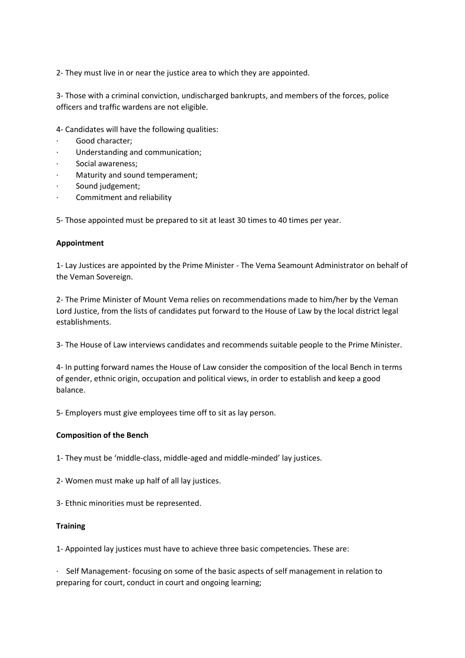2- They must live in or near the justice area to which they are appointed.

3- Those with a criminal conviction, undischarged bankrupts, and members of the forces, police officers and traffic wardens are not eligible.

4- Candidates will have the following qualities:

- Good character;
- · Understanding and communication;
- Social awareness;
- Maturity and sound temperament;
- · Sound judgement;
- Commitment and reliability

5- Those appointed must be prepared to sit at least 30 times to 40 times per year.

# **Appointment**

1- Lay Justices are appointed by the Prime Minister - The Vema Seamount Administrator on behalf of the Veman Sovereign.

2- The Prime Minister of Mount Vema relies on recommendations made to him/her by the Veman Lord Justice, from the lists of candidates put forward to the House of Law by the local district legal establishments.

3- The House of Law interviews candidates and recommends suitable people to the Prime Minister.

4- In putting forward names the House of Law consider the composition of the local Bench in terms of gender, ethnic origin, occupation and political views, in order to establish and keep a good balance.

5- Employers must give employees time off to sit as lay person.

# **Composition of the Bench**

1- They must be 'middle-class, middle-aged and middle-minded' lay justices.

2- Women must make up half of all lay justices.

3- Ethnic minorities must be represented.

# **Training**

1- Appointed lay justices must have to achieve three basic competencies. These are:

· Self Management- focusing on some of the basic aspects of self management in relation to preparing for court, conduct in court and ongoing learning;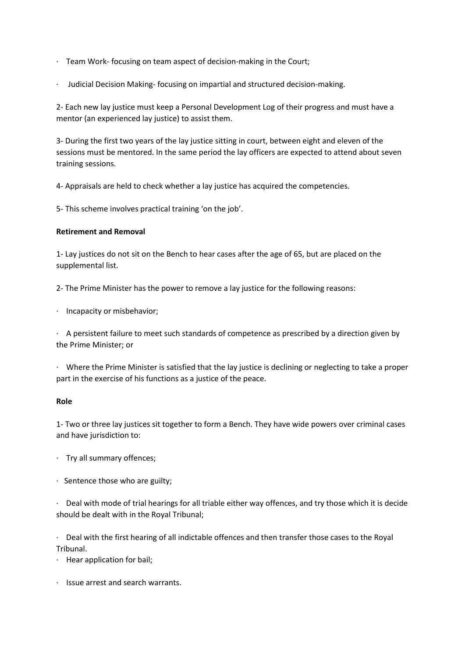- · Team Work- focusing on team aspect of decision-making in the Court;
- · Judicial Decision Making- focusing on impartial and structured decision-making.

2- Each new lay justice must keep a Personal Development Log of their progress and must have a mentor (an experienced lay justice) to assist them.

3- During the first two years of the lay justice sitting in court, between eight and eleven of the sessions must be mentored. In the same period the lay officers are expected to attend about seven training sessions.

4- Appraisals are held to check whether a lay justice has acquired the competencies.

5- This scheme involves practical training 'on the job'.

# **Retirement and Removal**

1- Lay justices do not sit on the Bench to hear cases after the age of 65, but are placed on the supplemental list.

2- The Prime Minister has the power to remove a lay justice for the following reasons:

· Incapacity or misbehavior;

· A persistent failure to meet such standards of competence as prescribed by a direction given by the Prime Minister; or

· Where the Prime Minister is satisfied that the lay justice is declining or neglecting to take a proper part in the exercise of his functions as a justice of the peace.

# **Role**

1- Two or three lay justices sit together to form a Bench. They have wide powers over criminal cases and have jurisdiction to:

- · Try all summary offences;
- · Sentence those who are guilty;

· Deal with mode of trial hearings for all triable either way offences, and try those which it is decide should be dealt with in the Royal Tribunal;

· Deal with the first hearing of all indictable offences and then transfer those cases to the Royal Tribunal.

· Hear application for bail;

· Issue arrest and search warrants.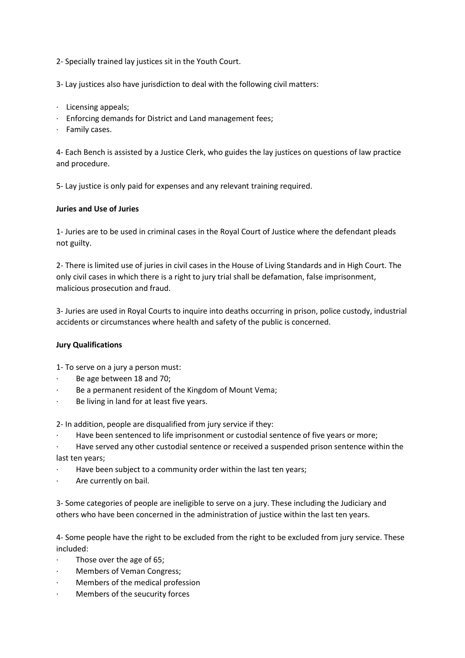2- Specially trained lay justices sit in the Youth Court.

3- Lay justices also have jurisdiction to deal with the following civil matters:

- · Licensing appeals;
- · Enforcing demands for District and Land management fees;
- · Family cases.

4- Each Bench is assisted by a Justice Clerk, who guides the lay justices on questions of law practice and procedure.

5- Lay justice is only paid for expenses and any relevant training required.

# **Juries and Use of Juries**

1- Juries are to be used in criminal cases in the Royal Court of Justice where the defendant pleads not guilty.

2- There is limited use of juries in civil cases in the House of Living Standards and in High Court. The only civil cases in which there is a right to jury trial shall be defamation, false imprisonment, malicious prosecution and fraud.

3- Juries are used in Royal Courts to inquire into deaths occurring in prison, police custody, industrial accidents or circumstances where health and safety of the public is concerned.

# **Jury Qualifications**

1- To serve on a jury a person must:

- Be age between 18 and 70;
- Be a permanent resident of the Kingdom of Mount Vema;
- Be living in land for at least five years.

2- In addition, people are disqualified from jury service if they:

- Have been sentenced to life imprisonment or custodial sentence of five years or more;
- Have served any other custodial sentence or received a suspended prison sentence within the last ten years;
- Have been subject to a community order within the last ten years;
- Are currently on bail.

3- Some categories of people are ineligible to serve on a jury. These including the Judiciary and others who have been concerned in the administration of justice within the last ten years.

4- Some people have the right to be excluded from the right to be excluded from jury service. These included:

- Those over the age of 65;
- · Members of Veman Congress;
- Members of the medical profession
- Members of the seucurity forces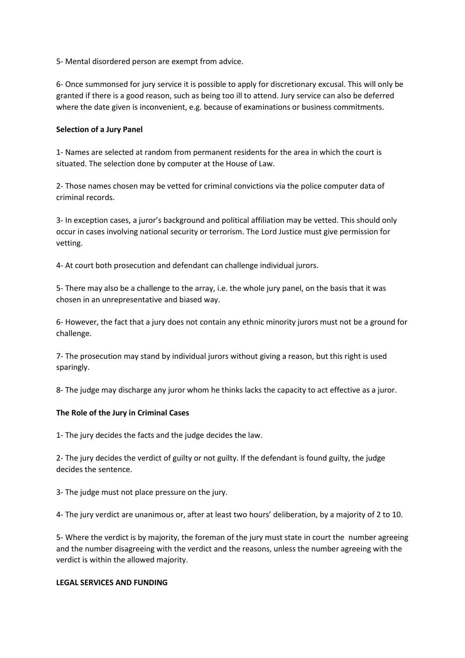5- Mental disordered person are exempt from advice.

6- Once summonsed for jury service it is possible to apply for discretionary excusal. This will only be granted if there is a good reason, such as being too ill to attend. Jury service can also be deferred where the date given is inconvenient, e.g. because of examinations or business commitments.

# **Selection of a Jury Panel**

1- Names are selected at random from permanent residents for the area in which the court is situated. The selection done by computer at the House of Law.

2- Those names chosen may be vetted for criminal convictions via the police computer data of criminal records.

3- In exception cases, a juror's background and political affiliation may be vetted. This should only occur in cases involving national security or terrorism. The Lord Justice must give permission for vetting.

4- At court both prosecution and defendant can challenge individual jurors.

5- There may also be a challenge to the array, i.e. the whole jury panel, on the basis that it was chosen in an unrepresentative and biased way.

6- However, the fact that a jury does not contain any ethnic minority jurors must not be a ground for challenge.

7- The prosecution may stand by individual jurors without giving a reason, but this right is used sparingly.

8- The judge may discharge any juror whom he thinks lacks the capacity to act effective as a juror.

# **The Role of the Jury in Criminal Cases**

1- The jury decides the facts and the judge decides the law.

2- The jury decides the verdict of guilty or not guilty. If the defendant is found guilty, the judge decides the sentence.

3- The judge must not place pressure on the jury.

4- The jury verdict are unanimous or, after at least two hours' deliberation, by a majority of 2 to 10.

5- Where the verdict is by majority, the foreman of the jury must state in court the number agreeing and the number disagreeing with the verdict and the reasons, unless the number agreeing with the verdict is within the allowed majority.

# **LEGAL SERVICES AND FUNDING**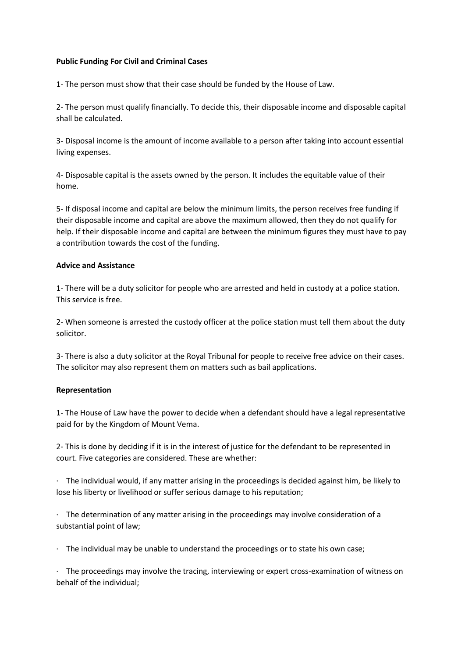# **Public Funding For Civil and Criminal Cases**

1- The person must show that their case should be funded by the House of Law.

2- The person must qualify financially. To decide this, their disposable income and disposable capital shall be calculated.

3- Disposal income is the amount of income available to a person after taking into account essential living expenses.

4- Disposable capital is the assets owned by the person. It includes the equitable value of their home.

5- If disposal income and capital are below the minimum limits, the person receives free funding if their disposable income and capital are above the maximum allowed, then they do not qualify for help. If their disposable income and capital are between the minimum figures they must have to pay a contribution towards the cost of the funding.

# **Advice and Assistance**

1- There will be a duty solicitor for people who are arrested and held in custody at a police station. This service is free.

2- When someone is arrested the custody officer at the police station must tell them about the duty solicitor.

3- There is also a duty solicitor at the Royal Tribunal for people to receive free advice on their cases. The solicitor may also represent them on matters such as bail applications.

# **Representation**

1- The House of Law have the power to decide when a defendant should have a legal representative paid for by the Kingdom of Mount Vema.

2- This is done by deciding if it is in the interest of justice for the defendant to be represented in court. Five categories are considered. These are whether:

· The individual would, if any matter arising in the proceedings is decided against him, be likely to lose his liberty or livelihood or suffer serious damage to his reputation;

· The determination of any matter arising in the proceedings may involve consideration of a substantial point of law;

 $\cdot$  The individual may be unable to understand the proceedings or to state his own case;

· The proceedings may involve the tracing, interviewing or expert cross-examination of witness on behalf of the individual;